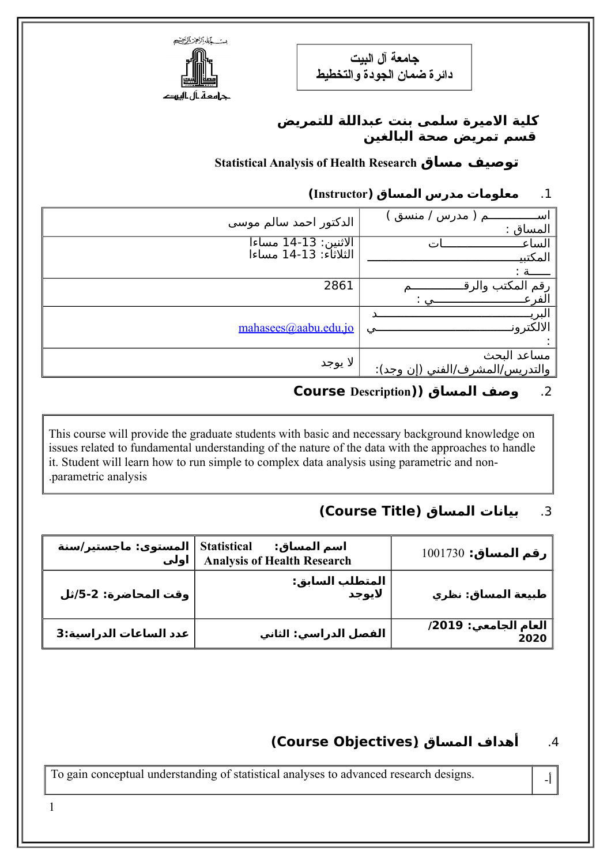**جامعة آل البيت دائرة ضمان الجودة والتخطيط**



### **كلية المايرة سلمى بنت عبداللة للتمريض قسم تمريض صحة البالغين**

**Statistical Analysis of Health Research ماساق توصيف**

# .1 **ماعلوماات مادرس المساق (Instructor(**

| الدكتور احمد سالم موسي                        | ِ مدرس / منسق<br>لىد<br>المساق : |
|-----------------------------------------------|----------------------------------|
|                                               | الساء                            |
| الاثنين: 13-14 مساءا<br>الثلاثاء: 13-14 مساءا | المكتبد                          |
|                                               | ـــة :                           |
| 2861                                          | رقم المكتب والر                  |
|                                               | الفر                             |
|                                               | البريا                           |
| mahasees@aabu.edu.jo                          | الالكترون                        |
|                                               |                                  |
|                                               | مساعد البحث                      |
| لا يوجد                                       | والتدريس/المشرف/الفني (إن وجد):  |
|                                               |                                  |

# .2 **وصف المساق ((Description Course**

This course will provide the graduate students with basic and necessary background knowledge on issues related to fundamental understanding of the nature of the data with the approaches to handle it. Student will learn how to run simple to complex data analysis using parametric and non- .parametric analysis

# .3 **بيانات المساق (Title Course(**

| Statistical   المستوى: ماجستير/سنة | اسم المساق:<br>Analysis of Health Research | رقم المساق: 1001730          |
|------------------------------------|--------------------------------------------|------------------------------|
| وقت المحاضرة: 2-5/ثل               | المتطلب السابق:<br>لايوجد                  | طبيعة المساق: نظري           |
| عدد الساعات الدراسية:3             | الفصل الدراسي: الثاني                      | العام الجامعي: 2019/<br>2020 |

# .4 **أهداف المساق (ِObjectives Course(**

To gain conceptual understanding of statistical analyses to advanced research designs.

1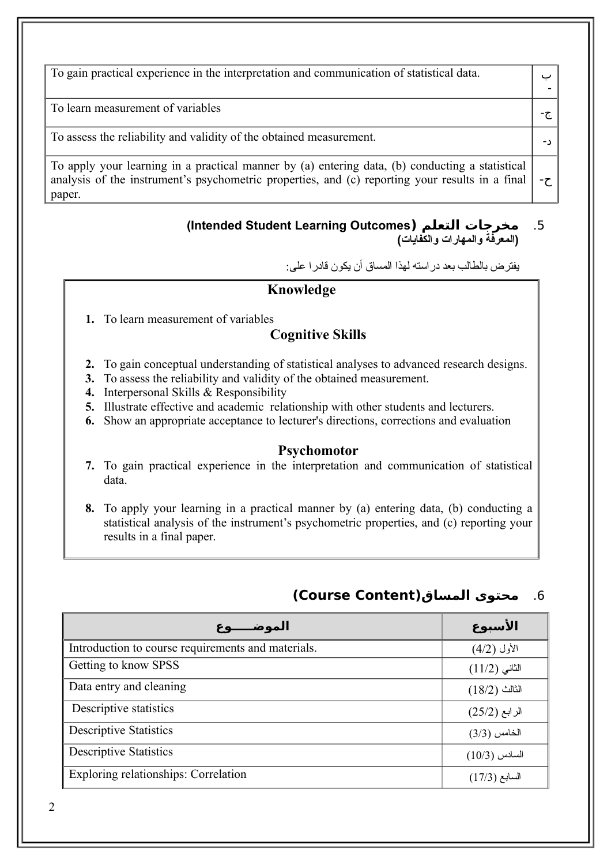To gain practical experience in the interpretation and communication of statistical data.

-ج To learn measurement of variables

-د To assess the reliability and validity of the obtained measurement.

ح- To apply your learning in a practical manner by (a) entering data, (b) conducting a statistical analysis of the instrument's psychometric properties, and (c) reporting your results in a final paper.

#### **(Intended Student Learning Outcomes) التعلم ماخرجات** .5 **(المعرفة والمهارات والكفايات)**

يفترض بالطالب بعد دراسته لهذا المساق أن يكون قادرا على:

ب -

### **Knowledge**

**1.** To learn measurement of variables

### **Cognitive Skills**

- **2.** To gain conceptual understanding of statistical analyses to advanced research designs.
- **3.** To assess the reliability and validity of the obtained measurement.
- **4.** Interpersonal Skills & Responsibility
- **5.** Illustrate effective and academic relationship with other students and lecturers.
- **6.** Show an appropriate acceptance to lecturer's directions, corrections and evaluation

#### **Psychomotor**

**7.** To gain practical experience in the interpretation and communication of statistical data.

**8.** To apply your learning in a practical manner by (a) entering data, (b) conducting a statistical analysis of the instrument's psychometric properties, and (c) reporting your results in a final paper.

| الموضـــوع                                         | الأسبوع         |
|----------------------------------------------------|-----------------|
| Introduction to course requirements and materials. | الأول (4/2)     |
| Getting to know SPSS                               | $(11/2)$ الثانی |
| Data entry and cleaning                            | $(18/2)$ الثالث |
| Descriptive statistics                             | الرابع (25/2)   |
| <b>Descriptive Statistics</b>                      | الخامس (3/3)    |
| <b>Descriptive Statistics</b>                      | $(10/3)$ السادس |
| Exploring relationships: Correlation               | السابع (17/3)   |

## .6 **ماحتوى المساق(Content Course(**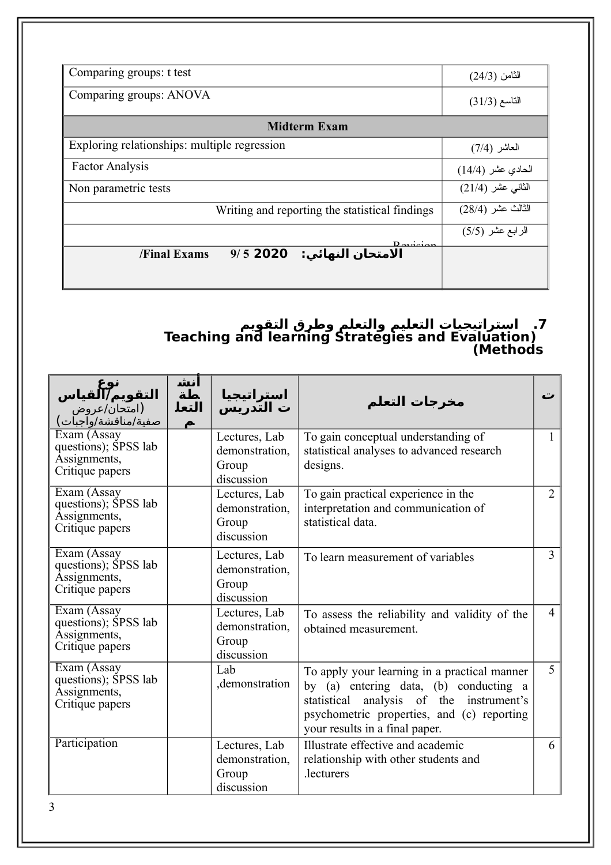| Comparing groups: t test                                               | الثامن (24/3)     |
|------------------------------------------------------------------------|-------------------|
| Comparing groups: ANOVA                                                | التاسع (31/3)     |
| <b>Midterm Exam</b>                                                    |                   |
| Exploring relationships: multiple regression                           | العاشر (7/4)      |
| <b>Factor Analysis</b>                                                 | الحادي عشر (14/4) |
| Non parametric tests                                                   | الثاني عشر (21/4) |
| Writing and reporting the statistical findings                         | الثالث عشر (28/4) |
|                                                                        | الرابع عشر (5/5)  |
| $D_{\alpha}$<br>$9/5$ 2020<br>الامتحان النهائي:<br><b>/Final Exams</b> |                   |
|                                                                        |                   |

#### **.7 استراتيجيات التعليم والتعلم وطرق التقويم Teaching and learning Strategies and Evaluation) (Methods**

| <b>التقويم∭هياس</b><br>(امتحان/عروض<br>صفية/مناقشة/واًجبات)            | انش<br>ـطة<br>التعل<br>A | استراتيجيا<br>ت التدريس                                | مخرجات التعلم                                                                                                                                                                                                         | ت              |
|------------------------------------------------------------------------|--------------------------|--------------------------------------------------------|-----------------------------------------------------------------------------------------------------------------------------------------------------------------------------------------------------------------------|----------------|
| Exam (Assay<br>questions); SPSS lab<br>Assignments,<br>Critique papers |                          | Lectures, Lab<br>demonstration,<br>Group<br>discussion | To gain conceptual understanding of<br>statistical analyses to advanced research<br>designs.                                                                                                                          |                |
| Exam (Assay<br>questions); SPSS lab<br>Assignments,<br>Critique papers |                          | Lectures, Lab<br>demonstration.<br>Group<br>discussion | To gain practical experience in the<br>interpretation and communication of<br>statistical data.                                                                                                                       | $\overline{2}$ |
| Exam (Assay<br>questions); SPSS lab<br>Assignments,<br>Critique papers |                          | Lectures, Lab<br>demonstration.<br>Group<br>discussion | To learn measurement of variables                                                                                                                                                                                     | 3              |
| Exam (Assay<br>questions); SPSS lab<br>Assignments,<br>Critique papers |                          | Lectures, Lab<br>demonstration,<br>Group<br>discussion | To assess the reliability and validity of the<br>obtained measurement.                                                                                                                                                | $\overline{4}$ |
| Exam (Assay<br>questions); SPSS lab<br>Assignments,<br>Critique papers |                          | Lab<br>demonstration                                   | To apply your learning in a practical manner<br>by (a) entering data, (b) conducting a<br>analysis of the instrument's<br>statistical<br>psychometric properties, and (c) reporting<br>your results in a final paper. | $\overline{5}$ |
| Participation                                                          |                          | Lectures, Lab<br>demonstration,<br>Group<br>discussion | Illustrate effective and academic<br>relationship with other students and<br>lecturers.                                                                                                                               | 6              |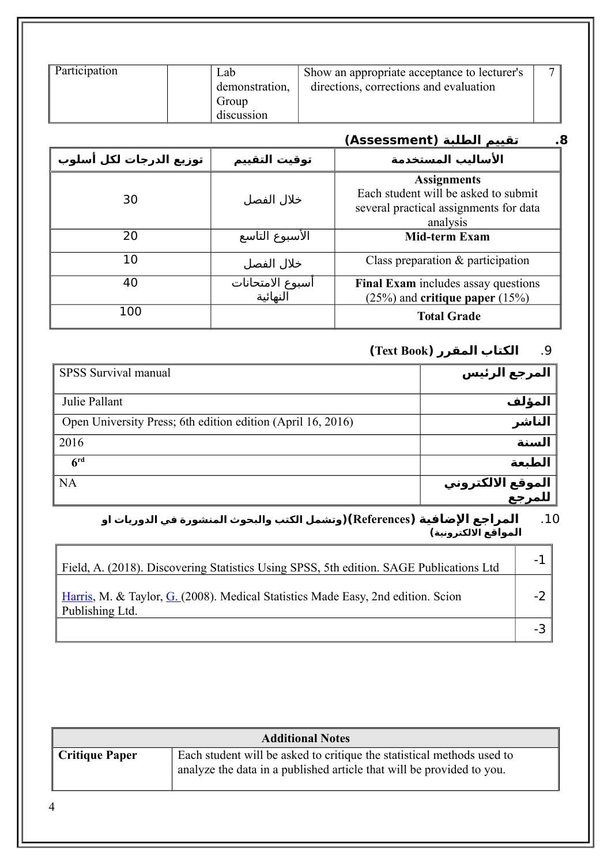| Participation | Lab            | Show an appropriate acceptance to lecturer's | − |
|---------------|----------------|----------------------------------------------|---|
|               | demonstration, | directions, corrections and evaluation       |   |
|               | Group          |                                              |   |
|               | discussion     |                                              |   |

|                         |                              | تقييم الطلبة (Assessment)<br>.8                                                                                  |
|-------------------------|------------------------------|------------------------------------------------------------------------------------------------------------------|
| توزيع الدرجات لكل أسلوب | توقيت التقييم                | الأساليب المستخدمة                                                                                               |
| 30                      | خلال الفصل                   | <b>Assignments</b><br>Each student will be asked to submit<br>several practical assignments for data<br>analysis |
| 20                      | الأسبوع التاسع               | <b>Mid-term Exam</b>                                                                                             |
| 10                      | خلال الفصل                   | Class preparation $\&$ participation                                                                             |
| 40                      | أسبوع الامتحانات<br>النهائية | Final Exam includes assay questions<br>$(25%)$ and critique paper $(15%)$                                        |
| 100                     |                              | <b>Total Grade</b>                                                                                               |

# .9 **الكتاب المقرر (Book Text(**

| SPSS Survival manual                                        | المرجع الرئيس               |
|-------------------------------------------------------------|-----------------------------|
| Julie Pallant                                               | المؤلف                      |
| Open University Press; 6th edition edition (April 16, 2016) | الناشر                      |
| 2016                                                        | السنة                       |
| 6 <sup>rd</sup>                                             | الطبعة                      |
| NA                                                          | الموقع الالكتروني<br>للمرجع |
|                                                             |                             |

#### .10 **المراجع الضافية (References)(وتشمل الكتب والبحوث المنشورة في الدوريات او المواقع اللكترونية)**

| Field, A. (2018). Discovering Statistics Using SPSS, 5th edition. SAGE Publications Ltd                        |  |
|----------------------------------------------------------------------------------------------------------------|--|
| <b>Harris, M. &amp; Taylor, G. (2008). Medical Statistics Made Easy, 2nd edition. Scion</b><br>Publishing Ltd. |  |
|                                                                                                                |  |

| <b>Additional Notes</b> |                                                                                                                                                 |  |
|-------------------------|-------------------------------------------------------------------------------------------------------------------------------------------------|--|
| <b>Critique Paper</b>   | Each student will be asked to critique the statistical methods used to<br>analyze the data in a published article that will be provided to you. |  |

4